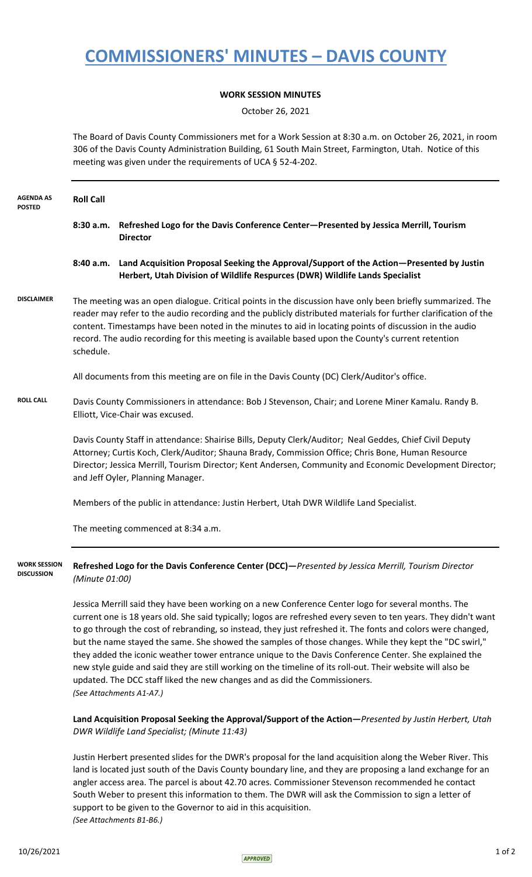## **COMMISSIONERS' MINUTES – DAVIS COUNTY**

## **WORK SESSION MINUTES**

October 26, 2021

The Board of Davis County Commissioners met for a Work Session at 8:30 a.m. on October 26, 2021, in room 306 of the Davis County Administration Building, 61 South Main Street, Farmington, Utah. Notice of this meeting was given under the requirements of UCA § 52-4-202.

| <b>AGENDA AS</b><br><b>POSTED</b> | <b>Roll Call</b>                                                                                                                                                                                                                                                                                                                                                                                                                                                                                                                                                                                                                                                                                                                                                                                                                                                                                                                                                                                                                   |                                                                                                                                                                          |  |
|-----------------------------------|------------------------------------------------------------------------------------------------------------------------------------------------------------------------------------------------------------------------------------------------------------------------------------------------------------------------------------------------------------------------------------------------------------------------------------------------------------------------------------------------------------------------------------------------------------------------------------------------------------------------------------------------------------------------------------------------------------------------------------------------------------------------------------------------------------------------------------------------------------------------------------------------------------------------------------------------------------------------------------------------------------------------------------|--------------------------------------------------------------------------------------------------------------------------------------------------------------------------|--|
|                                   | 8:30a.m.                                                                                                                                                                                                                                                                                                                                                                                                                                                                                                                                                                                                                                                                                                                                                                                                                                                                                                                                                                                                                           | Refreshed Logo for the Davis Conference Center-Presented by Jessica Merrill, Tourism<br><b>Director</b>                                                                  |  |
|                                   | 8:40 a.m.                                                                                                                                                                                                                                                                                                                                                                                                                                                                                                                                                                                                                                                                                                                                                                                                                                                                                                                                                                                                                          | Land Acquisition Proposal Seeking the Approval/Support of the Action-Presented by Justin<br>Herbert, Utah Division of Wildlife Respurces (DWR) Wildlife Lands Specialist |  |
| <b>DISCLAIMER</b>                 | The meeting was an open dialogue. Critical points in the discussion have only been briefly summarized. The<br>reader may refer to the audio recording and the publicly distributed materials for further clarification of the<br>content. Timestamps have been noted in the minutes to aid in locating points of discussion in the audio<br>record. The audio recording for this meeting is available based upon the County's current retention<br>schedule.                                                                                                                                                                                                                                                                                                                                                                                                                                                                                                                                                                       |                                                                                                                                                                          |  |
|                                   |                                                                                                                                                                                                                                                                                                                                                                                                                                                                                                                                                                                                                                                                                                                                                                                                                                                                                                                                                                                                                                    |                                                                                                                                                                          |  |
| <b>ROLL CALL</b>                  | Davis County Commissioners in attendance: Bob J Stevenson, Chair; and Lorene Miner Kamalu. Randy B.<br>Elliott, Vice-Chair was excused.                                                                                                                                                                                                                                                                                                                                                                                                                                                                                                                                                                                                                                                                                                                                                                                                                                                                                            |                                                                                                                                                                          |  |
|                                   | Davis County Staff in attendance: Shairise Bills, Deputy Clerk/Auditor; Neal Geddes, Chief Civil Deputy<br>Attorney; Curtis Koch, Clerk/Auditor; Shauna Brady, Commission Office; Chris Bone, Human Resource<br>Director; Jessica Merrill, Tourism Director; Kent Andersen, Community and Economic Development Director;<br>and Jeff Oyler, Planning Manager.                                                                                                                                                                                                                                                                                                                                                                                                                                                                                                                                                                                                                                                                      |                                                                                                                                                                          |  |
|                                   | Members of the public in attendance: Justin Herbert, Utah DWR Wildlife Land Specialist.                                                                                                                                                                                                                                                                                                                                                                                                                                                                                                                                                                                                                                                                                                                                                                                                                                                                                                                                            |                                                                                                                                                                          |  |
|                                   |                                                                                                                                                                                                                                                                                                                                                                                                                                                                                                                                                                                                                                                                                                                                                                                                                                                                                                                                                                                                                                    |                                                                                                                                                                          |  |
| WORK SESSION<br><b>DISCUSSION</b> | Refreshed Logo for the Davis Conference Center (DCC)-Presented by Jessica Merrill, Tourism Director<br>(Minute 01:00)                                                                                                                                                                                                                                                                                                                                                                                                                                                                                                                                                                                                                                                                                                                                                                                                                                                                                                              |                                                                                                                                                                          |  |
|                                   |                                                                                                                                                                                                                                                                                                                                                                                                                                                                                                                                                                                                                                                                                                                                                                                                                                                                                                                                                                                                                                    |                                                                                                                                                                          |  |
|                                   | DWR Wildlife Land Specialist; (Minute 11:43)                                                                                                                                                                                                                                                                                                                                                                                                                                                                                                                                                                                                                                                                                                                                                                                                                                                                                                                                                                                       |                                                                                                                                                                          |  |
|                                   | All documents from this meeting are on file in the Davis County (DC) Clerk/Auditor's office.<br>The meeting commenced at 8:34 a.m.<br>Jessica Merrill said they have been working on a new Conference Center logo for several months. The<br>current one is 18 years old. She said typically; logos are refreshed every seven to ten years. They didn't want<br>to go through the cost of rebranding, so instead, they just refreshed it. The fonts and colors were changed,<br>but the name stayed the same. She showed the samples of those changes. While they kept the "DC swirl,"<br>they added the iconic weather tower entrance unique to the Davis Conference Center. She explained the<br>new style guide and said they are still working on the timeline of its roll-out. Their website will also be<br>updated. The DCC staff liked the new changes and as did the Commissioners.<br>(See Attachments A1-A7.)<br>Land Acquisition Proposal Seeking the Approval/Support of the Action-Presented by Justin Herbert, Utah |                                                                                                                                                                          |  |

Justin Herbert presented slides for the DWR's proposal for the land acquisition along the Weber River. This land is located just south of the Davis County boundary line, and they are proposing a land exchange for an angler access area. The parcel is about 42.70 acres. Commissioner Stevenson recommended he contact South Weber to present this information to them. The DWR will ask the Commission to sign a letter of support to be given to the Governor to aid in this acquisition. *(See Attachments B1-B6.)*